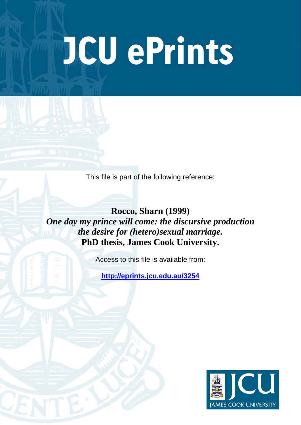# JCU ePrints

This file is part of the following reference:

**Rocco, Sharn (1999)**  *One day my prince will come: the discursive production the desire for (hetero)sexual marriage.* **PhD thesis, James Cook University.**

Access to this file is available from:

**<http://eprints.jcu.edu.au/3254>**

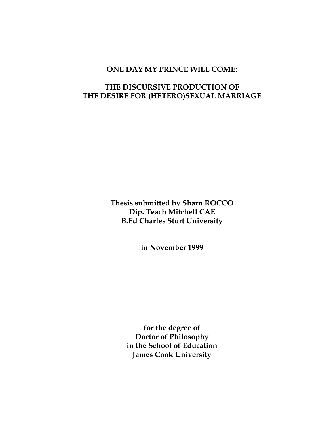# **ONE DAY MY PRINCE WILL COME:**

# **THE DISCURSIVE PRODUCTION OF THE DESIRE FOR (HETERO)SEXUAL MARRIAGE**

**Thesis submitted by Sharn ROCCO Dip. Teach Mitchell CAE B.Ed Charles Sturt University** 

**in November 1999** 

**for the degree of Doctor of Philosophy in the School of Education James Cook University**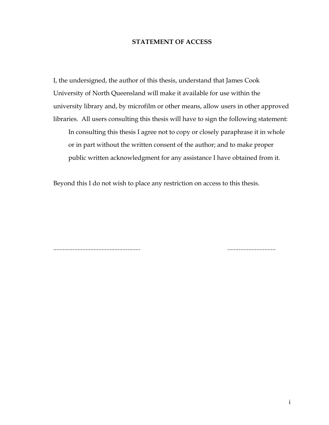# **STATEMENT OF ACCESS**

I, the undersigned, the author of this thesis, understand that James Cook University of North Queensland will make it available for use within the university library and, by microfilm or other means, allow users in other approved libraries. All users consulting this thesis will have to sign the following statement: In consulting this thesis I agree not to copy or closely paraphrase it in whole or in part without the written consent of the author; and to make proper public written acknowledgment for any assistance I have obtained from it.

Beyond this I do not wish to place any restriction on access to this thesis.

...................................................... ..............................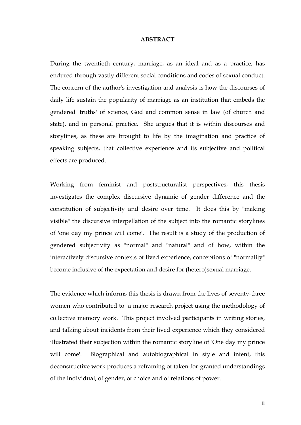## **ABSTRACT**

During the twentieth century, marriage, as an ideal and as a practice, has endured through vastly different social conditions and codes of sexual conduct. The concern of the author's investigation and analysis is how the discourses of daily life sustain the popularity of marriage as an institution that embeds the gendered 'truths' of science, God and common sense in law (of church and state), and in personal practice. She argues that it is within discourses and storylines, as these are brought to life by the imagination and practice of speaking subjects, that collective experience and its subjective and political effects are produced.

Working from feminist and poststructuralist perspectives, this thesis investigates the complex discursive dynamic of gender difference and the constitution of subjectivity and desire over time. It does this by "making visible" the discursive interpellation of the subject into the romantic storylines of 'one day my prince will come'. The result is a study of the production of gendered subjectivity as "normal" and "natural" and of how, within the interactively discursive contexts of lived experience, conceptions of "normality" become inclusive of the expectation and desire for (hetero)sexual marriage.

The evidence which informs this thesis is drawn from the lives of seventy-three women who contributed to a major research project using the methodology of collective memory work. This project involved participants in writing stories, and talking about incidents from their lived experience which they considered illustrated their subjection within the romantic storyline of 'One day my prince will come'. Biographical and autobiographical in style and intent, this deconstructive work produces a reframing of taken-for-granted understandings of the individual, of gender, of choice and of relations of power.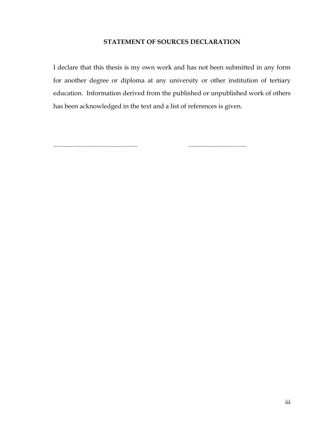# **STATEMENT OF SOURCES DECLARATION**

I declare that this thesis is my own work and has not been submitted in any form for another degree or diploma at any university or other institution of tertiary education. Information derived from the published or unpublished work of others has been acknowledged in the text and a list of references is given.

.................................................... ....................................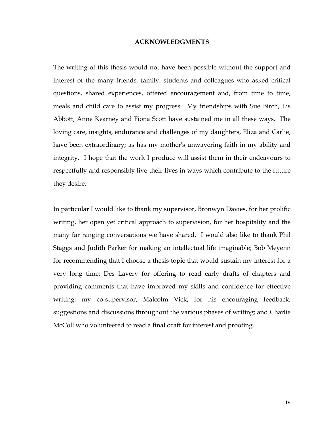#### **ACKNOWLEDGMENTS**

The writing of this thesis would not have been possible without the support and interest of the many friends, family, students and colleagues who asked critical questions, shared experiences, offered encouragement and, from time to time, meals and child care to assist my progress. My friendships with Sue Birch, Lis Abbott, Anne Kearney and Fiona Scott have sustained me in all these ways. The loving care, insights, endurance and challenges of my daughters, Eliza and Carlie, have been extraordinary; as has my mother's unwavering faith in my ability and integrity. I hope that the work I produce will assist them in their endeavours to respectfully and responsibly live their lives in ways which contribute to the future they desire.

In particular I would like to thank my supervisor, Bronwyn Davies, for her prolific writing, her open yet critical approach to supervision, for her hospitality and the many far ranging conversations we have shared. I would also like to thank Phil Staggs and Judith Parker for making an intellectual life imaginable; Bob Meyenn for recommending that I choose a thesis topic that would sustain my interest for a very long time; Des Lavery for offering to read early drafts of chapters and providing comments that have improved my skills and confidence for effective writing; my co-supervisor, Malcolm Vick, for his encouraging feedback, suggestions and discussions throughout the various phases of writing; and Charlie McColl who volunteered to read a final draft for interest and proofing.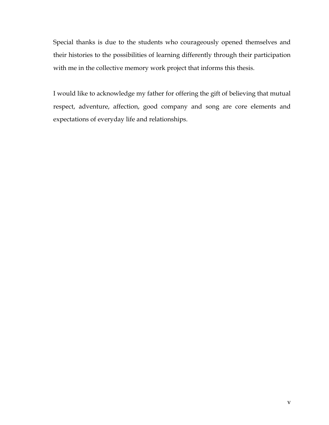Special thanks is due to the students who courageously opened themselves and their histories to the possibilities of learning differently through their participation with me in the collective memory work project that informs this thesis.

I would like to acknowledge my father for offering the gift of believing that mutual respect, adventure, affection, good company and song are core elements and expectations of everyday life and relationships.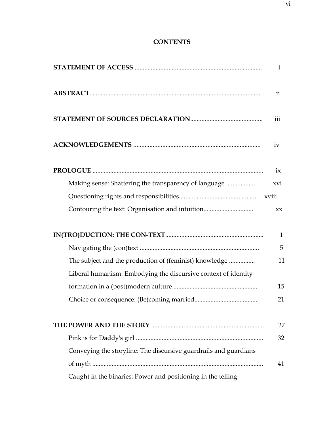# **CONTENTS**

|                                                                  | i                       |
|------------------------------------------------------------------|-------------------------|
|                                                                  | $\overline{\mathbf{u}}$ |
|                                                                  | iii                     |
|                                                                  | iv                      |
|                                                                  | ix                      |
| Making sense: Shattering the transparency of language            | xvi                     |
|                                                                  |                         |
| Contouring the text: Organisation and intuition                  | XX                      |
|                                                                  | $\mathbf{1}$            |
|                                                                  | 5                       |
| The subject and the production of (feminist) knowledge           | 11                      |
| Liberal humanism: Embodying the discursive context of identity   |                         |
|                                                                  | 15                      |
|                                                                  | 21                      |
|                                                                  | 27                      |
|                                                                  | 32                      |
| Conveying the storyline: The discursive guardrails and guardians |                         |
|                                                                  | 41                      |
| Caught in the binaries: Power and positioning in the telling     |                         |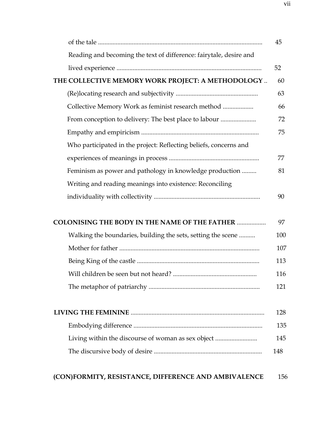|                                                                    | 45  |
|--------------------------------------------------------------------|-----|
| Reading and becoming the text of difference: fairytale, desire and |     |
|                                                                    | 52  |
| THE COLLECTIVE MEMORY WORK PROJECT: A METHODOLOGY                  | 60  |
|                                                                    | 63  |
| Collective Memory Work as feminist research method                 | 66  |
| From conception to delivery: The best place to labour              | 72  |
|                                                                    | 75  |
| Who participated in the project: Reflecting beliefs, concerns and  |     |
|                                                                    | 77  |
| Feminism as power and pathology in knowledge production            | 81  |
| Writing and reading meanings into existence: Reconciling           |     |
|                                                                    | 90  |
|                                                                    |     |
| <b>COLONISING THE BODY IN THE NAME OF THE FATHER </b>              | 97  |
| Walking the boundaries, building the sets, setting the scene       | 100 |
|                                                                    | 107 |
|                                                                    | 113 |
| Will children be seen but not heard?                               | 116 |
|                                                                    | 121 |
|                                                                    |     |
|                                                                    | 128 |
|                                                                    | 135 |
| Living within the discourse of woman as sex object                 | 145 |
|                                                                    | 148 |
|                                                                    |     |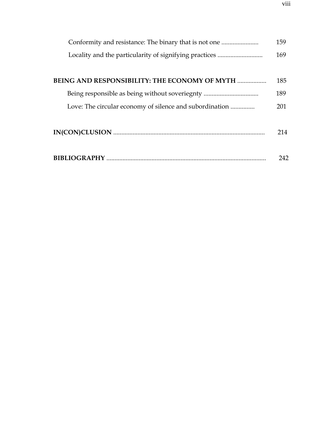|                                                         | 159 |
|---------------------------------------------------------|-----|
| Locality and the particularity of signifying practices  | 169 |
|                                                         |     |
| <b>BEING AND RESPONSIBILITY: THE ECONOMY OF MYTH </b>   | 185 |
|                                                         | 189 |
| Love: The circular economy of silence and subordination | 201 |
|                                                         |     |
|                                                         | 214 |
|                                                         |     |
|                                                         | 242 |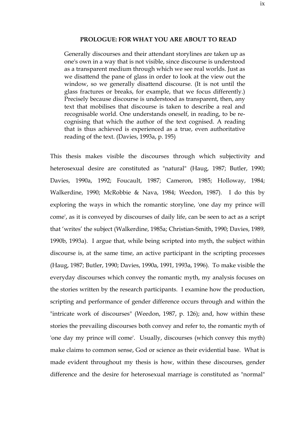#### **PROLOGUE: FOR WHAT YOU ARE ABOUT TO READ**

Generally discourses and their attendant storylines are taken up as one's own in a way that is not visible, since discourse is understood as a transparent medium through which we see real worlds. Just as we disattend the pane of glass in order to look at the view out the window, so we generally disattend discourse. (It is not until the glass fractures or breaks, for example, that we focus differently.) Precisely because discourse is understood as transparent, then, any text that mobilises that discourse is taken to describe a real and recognisable world. One understands oneself, in reading, to be recognising that which the author of the text cognised. A reading that is thus achieved is experienced as a true, even authoritative reading of the text. (Davies, 1993a, p. 195)

This thesis makes visible the discourses through which subjectivity and heterosexual desire are constituted as "natural" (Haug, 1987; Butler, 1990; Davies, 1990a, 1992; Foucault, 1987; Cameron, 1985; Holloway, 1984; Walkerdine, 1990; McRobbie & Nava, 1984; Weedon, 1987). I do this by exploring the ways in which the romantic storyline, 'one day my prince will come', as it is conveyed by discourses of daily life, can be seen to act as a script that 'writes' the subject (Walkerdine, 1985a; Christian-Smith, 1990; Davies, 1989, 1990b, 1993a). I argue that, while being scripted into myth, the subject within discourse is, at the same time, an active participant in the scripting processes (Haug, 1987; Butler, 1990; Davies, 1990a, 1991, 1993a, 1996). To make visible the everyday discourses which convey the romantic myth, my analysis focuses on the stories written by the research participants. I examine how the production, scripting and performance of gender difference occurs through and within the "intricate work of discourses" (Weedon, 1987, p. 126); and, how within these stories the prevailing discourses both convey and refer to, the romantic myth of 'one day my prince will come'. Usually, discourses (which convey this myth) make claims to common sense, God or science as their evidential base. What is made evident throughout my thesis is how, within these discourses, gender difference and the desire for heterosexual marriage is constituted as "normal"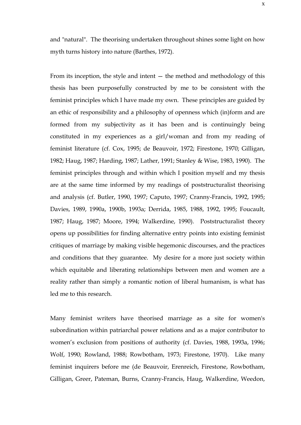and "natural". The theorising undertaken throughout shines some light on how myth turns history into nature (Barthes, 1972).

From its inception, the style and intent  $-$  the method and methodology of this thesis has been purposefully constructed by me to be consistent with the feminist principles which I have made my own. These principles are guided by an ethic of responsibility and a philosophy of openness which (in)form and are formed from my subjectivity as it has been and is continuingly being constituted in my experiences as a girl/woman and from my reading of feminist literature (cf. Cox, 1995; de Beauvoir, 1972; Firestone, 1970; Gilligan, 1982; Haug, 1987; Harding, 1987; Lather, 1991; Stanley & Wise, 1983, 1990). The feminist principles through and within which I position myself and my thesis are at the same time informed by my readings of poststructuralist theorising and analysis (cf. Butler, 1990, 1997; Caputo, 1997; Cranny-Francis, 1992, 1995; Davies, 1989, 1990a, 1990b, 1993a; Derrida, 1985, 1988, 1992, 1995; Foucault, 1987; Haug, 1987; Moore, 1994; Walkerdine, 1990). Poststructuralist theory opens up possibilities for finding alternative entry points into existing feminist critiques of marriage by making visible hegemonic discourses, and the practices and conditions that they guarantee. My desire for a more just society within which equitable and liberating relationships between men and women are a reality rather than simply a romantic notion of liberal humanism, is what has led me to this research.

Many feminist writers have theorised marriage as a site for women's subordination within patriarchal power relations and as a major contributor to women's exclusion from positions of authority (cf. Davies, 1988, 1993a, 1996; Wolf, 1990; Rowland, 1988; Rowbotham, 1973; Firestone, 1970). Like many feminist inquirers before me (de Beauvoir, Erenreich, Firestone, Rowbotham, Gilligan, Greer, Pateman, Burns, Cranny-Francis, Haug, Walkerdine, Weedon,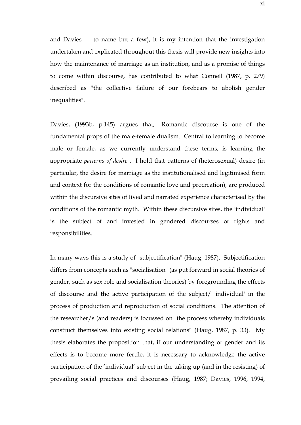and Davies  $-$  to name but a few), it is my intention that the investigation undertaken and explicated throughout this thesis will provide new insights into how the maintenance of marriage as an institution, and as a promise of things to come within discourse, has contributed to what Connell (1987, p. 279) described as "the collective failure of our forebears to abolish gender inequalities".

Davies, (1993b, p.145) argues that, "Romantic discourse is one of the fundamental props of the male-female dualism. Central to learning to become male or female, as we currently understand these terms, is learning the appropriate *patterns of desire*". I hold that patterns of (heterosexual) desire (in particular, the desire for marriage as the institutionalised and legitimised form and context for the conditions of romantic love and procreation), are produced within the discursive sites of lived and narrated experience characterised by the conditions of the romantic myth. Within these discursive sites, the 'individual' is the subject of and invested in gendered discourses of rights and responsibilities.

In many ways this is a study of "subjectification" (Haug, 1987). Subjectification differs from concepts such as "socialisation" (as put forward in social theories of gender, such as sex role and socialisation theories) by foregrounding the effects of discourse and the active participation of the subject/ 'individual' in the process of production and reproduction of social conditions. The attention of the researcher/s (and readers) is focussed on "the process whereby individuals construct themselves into existing social relations" (Haug, 1987, p. 33). My thesis elaborates the proposition that, if our understanding of gender and its effects is to become more fertile, it is necessary to acknowledge the active participation of the 'individual' subject in the taking up (and in the resisting) of prevailing social practices and discourses (Haug, 1987; Davies, 1996, 1994,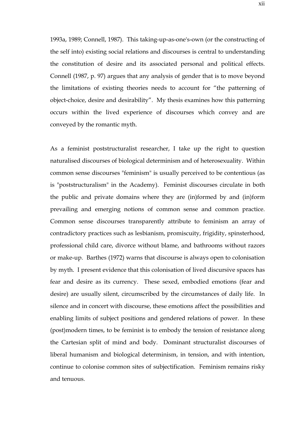1993a, 1989; Connell, 1987). This taking-up-as-one's-own (or the constructing of the self into) existing social relations and discourses is central to understanding the constitution of desire and its associated personal and political effects. Connell (1987, p. 97) argues that any analysis of gender that is to move beyond the limitations of existing theories needs to account for "the patterning of object-choice, desire and desirability". My thesis examines how this patterning occurs within the lived experience of discourses which convey and are conveyed by the romantic myth.

As a feminist poststructuralist researcher, I take up the right to question naturalised discourses of biological determinism and of heterosexuality. Within common sense discourses "feminism" is usually perceived to be contentious (as is "poststructuralism" in the Academy). Feminist discourses circulate in both the public and private domains where they are (in)formed by and (in)form prevailing and emerging notions of common sense and common practice. Common sense discourses transparently attribute to feminism an array of contradictory practices such as lesbianism, promiscuity, frigidity, spinsterhood, professional child care, divorce without blame, and bathrooms without razors or make-up. Barthes (1972) warns that discourse is always open to colonisation by myth. I present evidence that this colonisation of lived discursive spaces has fear and desire as its currency. These sexed, embodied emotions (fear and desire) are usually silent, circumscribed by the circumstances of daily life. In silence and in concert with discourse, these emotions affect the possibilities and enabling limits of subject positions and gendered relations of power. In these (post)modern times, to be feminist is to embody the tension of resistance along the Cartesian split of mind and body. Dominant structuralist discourses of liberal humanism and biological determinism, in tension, and with intention, continue to colonise common sites of subjectification. Feminism remains risky and tenuous.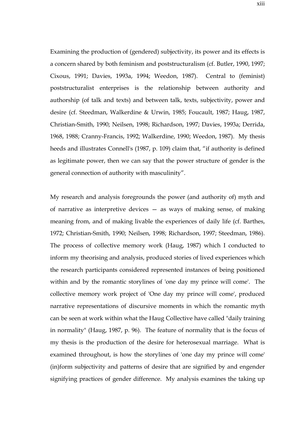Examining the production of (gendered) subjectivity, its power and its effects is a concern shared by both feminism and poststructuralism (cf. Butler, 1990, 1997; Cixous, 1991; Davies, 1993a, 1994; Weedon, 1987). Central to (feminist) poststructuralist enterprises is the relationship between authority and authorship (of talk and texts) and between talk, texts, subjectivity, power and desire (cf. Steedman, Walkerdine & Urwin, 1985; Foucault, 1987; Haug, 1987, Christian-Smith, 1990; Neilsen, 1998; Richardson, 1997; Davies, 1993a; Derrida, 1968, 1988; Cranny-Francis, 1992; Walkerdine, 1990; Weedon, 1987). My thesis heeds and illustrates Connell's (1987, p. 109) claim that, "if authority is defined as legitimate power, then we can say that the power structure of gender is the general connection of authority with masculinity".

My research and analysis foregrounds the power (and authority of) myth and of narrative as interpretive devices — as ways of making sense, of making meaning from, and of making livable the experiences of daily life (cf. Barthes, 1972; Christian-Smith, 1990; Neilsen, 1998; Richardson, 1997; Steedman, 1986). The process of collective memory work (Haug, 1987) which I conducted to inform my theorising and analysis, produced stories of lived experiences which the research participants considered represented instances of being positioned within and by the romantic storylines of 'one day my prince will come'. The collective memory work project of 'One day my prince will come', produced narrative representations of discursive moments in which the romantic myth can be seen at work within what the Haug Collective have called "daily training in normality" (Haug, 1987, p. 96). The feature of normality that is the focus of my thesis is the production of the desire for heterosexual marriage. What is examined throughout, is how the storylines of 'one day my prince will come' (in)form subjectivity and patterns of desire that are signified by and engender signifying practices of gender difference. My analysis examines the taking up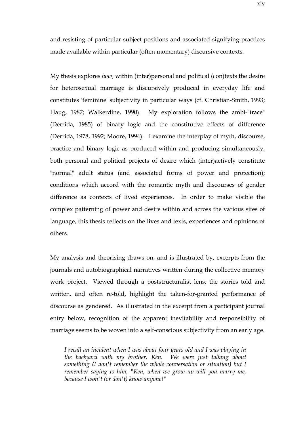and resisting of particular subject positions and associated signifying practices made available within particular (often momentary) discursive contexts.

My thesis explores *how*, within (inter)personal and political (con)texts the desire for heterosexual marriage is discursively produced in everyday life and constitutes 'feminine' subjectivity in particular ways (cf. Christian-Smith, 1993; Haug, 1987; Walkerdine, 1990). My exploration follows the ambi-"trace" (Derrida, 1985) of binary logic and the constitutive effects of difference (Derrida, 1978, 1992; Moore, 1994). I examine the interplay of myth, discourse, practice and binary logic as produced within and producing simultaneously, both personal and political projects of desire which (inter)actively constitute "normal" adult status (and associated forms of power and protection); conditions which accord with the romantic myth and discourses of gender difference as contexts of lived experiences. In order to make visible the complex patterning of power and desire within and across the various sites of language, this thesis reflects on the lives and texts, experiences and opinions of others.

My analysis and theorising draws on, and is illustrated by, excerpts from the journals and autobiographical narratives written during the collective memory work project. Viewed through a poststructuralist lens, the stories told and written, and often re-told, highlight the taken-for-granted performance of discourse as gendered. As illustrated in the excerpt from a participant journal entry below, recognition of the apparent inevitability and responsibility of marriage seems to be woven into a self-conscious subjectivity from an early age.

*I recall an incident when I was about four years old and I was playing in the backyard with my brother, Ken. We were just talking about something (I don't remember the whole conversation or situation) but I remember saying to him, "Ken, when we grow up will you marry me, because I won't (or don't) know anyone!"*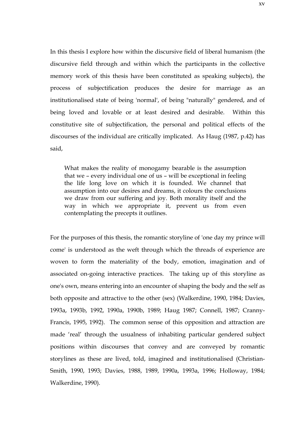In this thesis I explore how within the discursive field of liberal humanism (the discursive field through and within which the participants in the collective memory work of this thesis have been constituted as speaking subjects), the process of subjectification produces the desire for marriage as an institutionalised state of being 'normal', of being "naturally" gendered, and of being loved and lovable or at least desired and desirable. Within this constitutive site of subjectification, the personal and political effects of the discourses of the individual are critically implicated. As Haug (1987, p.42) has said,

What makes the reality of monogamy bearable is the assumption that we – every individual one of us – will be exceptional in feeling the life long love on which it is founded. We channel that assumption into our desires and dreams, it colours the conclusions we draw from our suffering and joy. Both morality itself and the way in which we appropriate it, prevent us from even contemplating the precepts it outlines.

For the purposes of this thesis, the romantic storyline of 'one day my prince will come' is understood as the weft through which the threads of experience are woven to form the materiality of the body, emotion, imagination and of associated on-going interactive practices. The taking up of this storyline as one's own, means entering into an encounter of shaping the body and the self as both opposite and attractive to the other (sex) (Walkerdine, 1990, 1984; Davies, 1993a, 1993b, 1992, 1990a, 1990b, 1989; Haug 1987; Connell, 1987; Cranny-Francis, 1995, 1992). The common sense of this opposition and attraction are made 'real' through the usualness of inhabiting particular gendered subject positions within discourses that convey and are conveyed by romantic storylines as these are lived, told, imagined and institutionalised (Christian-Smith, 1990, 1993; Davies, 1988, 1989, 1990a, 1993a, 1996; Holloway, 1984; Walkerdine, 1990).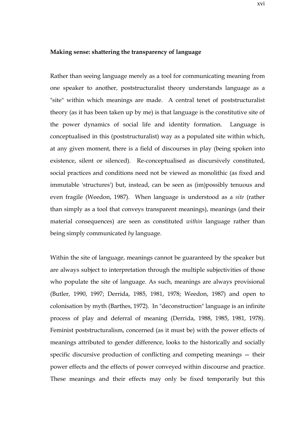## **Making sense: shattering the transparency of language**

Rather than seeing language merely as a tool for communicating meaning from one speaker to another, poststructuralist theory understands language as a "site" within which meanings are made. A central tenet of poststructuralist theory (as it has been taken up by me) is that language is the constitutive site of the power dynamics of social life and identity formation. Language is conceptualised in this (poststructuralist) way as a populated site within which, at any given moment, there is a field of discourses in play (being spoken into existence, silent or silenced). Re-conceptualised as discursively constituted, social practices and conditions need not be viewed as monolithic (as fixed and immutable 'structures') but, instead, can be seen as (im)possibly tenuous and even fragile (Weedon, 1987). When language is understood as a *site* (rather than simply as a tool that conveys transparent meanings), meanings (and their material consequences) are seen as constituted *within* language rather than being simply communicated *by* language.

Within the site of language, meanings cannot be guaranteed by the speaker but are always subject to interpretation through the multiple subjectivities of those who populate the site of language. As such, meanings are always provisional (Butler, 1990, 1997; Derrida, 1985, 1981, 1978; Weedon, 1987) and open to colonisation by myth (Barthes, 1972). In "deconstruction" language is an infinite process of play and deferral of meaning (Derrida, 1988, 1985, 1981, 1978). Feminist poststructuralism, concerned (as it must be) with the power effects of meanings attributed to gender difference, looks to the historically and socially specific discursive production of conflicting and competing meanings — their power effects and the effects of power conveyed within discourse and practice. These meanings and their effects may only be fixed temporarily but this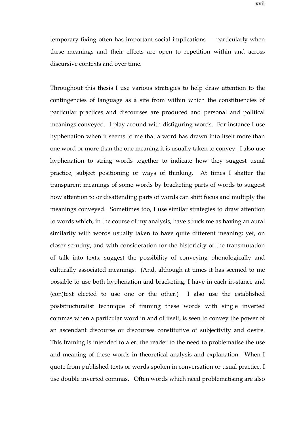temporary fixing often has important social implications — particularly when these meanings and their effects are open to repetition within and across discursive contexts and over time.

Throughout this thesis I use various strategies to help draw attention to the contingencies of language as a site from within which the constituencies of particular practices and discourses are produced and personal and political meanings conveyed. I play around with disfiguring words. For instance I use hyphenation when it seems to me that a word has drawn into itself more than one word or more than the one meaning it is usually taken to convey. I also use hyphenation to string words together to indicate how they suggest usual practice, subject positioning or ways of thinking. At times I shatter the transparent meanings of some words by bracketing parts of words to suggest how attention to or disattending parts of words can shift focus and multiply the meanings conveyed. Sometimes too, I use similar strategies to draw attention to words which, in the course of my analysis, have struck me as having an aural similarity with words usually taken to have quite different meaning; yet, on closer scrutiny, and with consideration for the historicity of the transmutation of talk into texts, suggest the possibility of conveying phonologically and culturally associated meanings. (And, although at times it has seemed to me possible to use both hyphenation and bracketing, I have in each in-stance and (con)text elected to use one or the other.) I also use the established poststructuralist technique of framing these words with single inverted commas when a particular word in and of itself, is seen to convey the power of an ascendant discourse or discourses constitutive of subjectivity and desire. This framing is intended to alert the reader to the need to problematise the use and meaning of these words in theoretical analysis and explanation. When I quote from published texts or words spoken in conversation or usual practice, I use double inverted commas. Often words which need problematising are also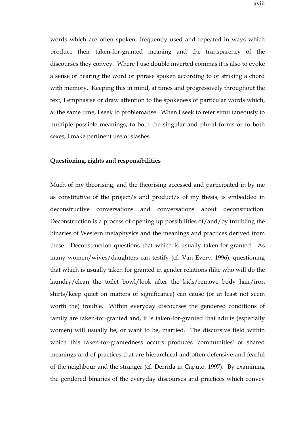words which are often spoken, frequently used and repeated in ways which produce their taken-for-granted meaning and the transparency of the discourses they convey. Where I use double inverted commas it is also to evoke a sense of hearing the word or phrase spoken according to or striking a chord with memory. Keeping this in mind, at times and progressively throughout the text, I emphasise or draw attention to the spokeness of particular words which, at the same time, I seek to problematise. When I seek to refer simultaneously to multiple possible meanings, to both the singular and plural forms or to both sexes, I make pertinent use of slashes.

## **Questioning, rights and responsibilities**

Much of my theorising, and the theorising accessed and participated in by me as constitutive of the project/s and product/s of my thesis, is embedded in deconstructive conversations and conversations about deconstruction. Deconstruction is a process of opening up possibilities of/and/by troubling the binaries of Western metaphysics and the meanings and practices derived from these. Deconstruction questions that which is usually taken-for-granted. As many women/wives/daughters can testify (cf. Van Every, 1996), questioning that which is usually taken for granted in gender relations (like who will do the laundry/clean the toilet bowl/look after the kids/remove body hair/iron shirts/keep quiet on matters of significance) can cause (or at least not seem worth the) trouble. Within everyday discourses the gendered conditions of family are taken-for-granted and, it is taken-for-granted that adults (especially women) will usually be, or want to be, married. The discursive field within which this taken-for-grantedness occurs produces 'communities' of shared meanings and of practices that are hierarchical and often defensive and fearful of the neighbour and the stranger (cf. Derrida in Caputo, 1997). By examining the gendered binaries of the everyday discourses and practices which convey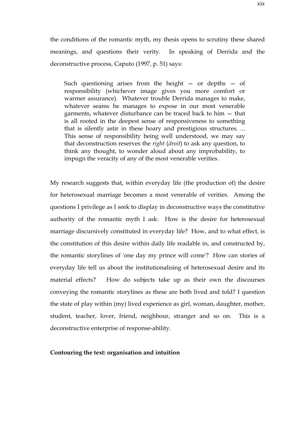the conditions of the romantic myth, my thesis opens to scrutiny these shared meanings, and questions their verity. In speaking of Derrida and the deconstructive process, Caputo (1997, p. 51) says:

Such questioning arises from the height  $-$  or depths  $-$  of responsibility (whichever image gives you more comfort or warmer assurance). Whatever trouble Derrida manages to make, whatever seams he manages to expose in our most venerable garments, whatever disturbance can be traced back to him — that is all rooted in the deepest sense of responsiveness to something that is silently astir in these hoary and prestigious structures. ... This sense of responsibility being well understood, we may say that deconstruction reserves the *right* (*droit*) to ask any question, to think any thought, to wonder aloud about any improbability, to impugn the veracity of any of the most venerable verities.

My research suggests that, within everyday life (the production of) the desire for heterosexual marriage becomes a most venerable of verities. Among the questions I privilege as I seek to display in deconstructive ways the constitutive authority of the romantic myth I ask: How is the desire for heterosexual marriage discursively constituted in everyday life? How, and to what effect, is the constitution of this desire within daily life readable in, and constructed by, the romantic storylines of 'one day my prince will come'? How can stories of everyday life tell us about the institutionalising of heterosexual desire and its material effects? How do subjects take up as their own the discourses conveying the romantic storylines as these are both lived and told? I question the state of play within (my) lived experience as girl, woman, daughter, mother, student, teacher, lover, friend, neighbour, stranger and so on. This is a deconstructive enterprise of response-ability.

## **Contouring the text: organisation and intuition**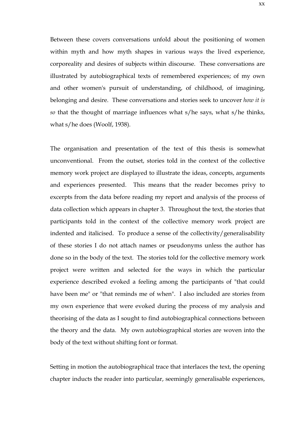Between these covers conversations unfold about the positioning of women within myth and how myth shapes in various ways the lived experience, corporeality and desires of subjects within discourse. These conversations are illustrated by autobiographical texts of remembered experiences; of my own and other women's pursuit of understanding, of childhood, of imagining, belonging and desire. These conversations and stories seek to uncover *how it is so* that the thought of marriage influences what s/he says, what s/he thinks, what s/he does (Woolf, 1938).

The organisation and presentation of the text of this thesis is somewhat unconventional. From the outset, stories told in the context of the collective memory work project are displayed to illustrate the ideas, concepts, arguments and experiences presented. This means that the reader becomes privy to excerpts from the data before reading my report and analysis of the process of data collection which appears in chapter 3. Throughout the text, the stories that participants told in the context of the collective memory work project are indented and italicised. To produce a sense of the collectivity/generalisability of these stories I do not attach names or pseudonyms unless the author has done so in the body of the text. The stories told for the collective memory work project were written and selected for the ways in which the particular experience described evoked a feeling among the participants of "that could have been me" or "that reminds me of when". I also included are stories from my own experience that were evoked during the process of my analysis and theorising of the data as I sought to find autobiographical connections between the theory and the data. My own autobiographical stories are woven into the body of the text without shifting font or format.

Setting in motion the autobiographical trace that interlaces the text, the opening chapter inducts the reader into particular, seemingly generalisable experiences,